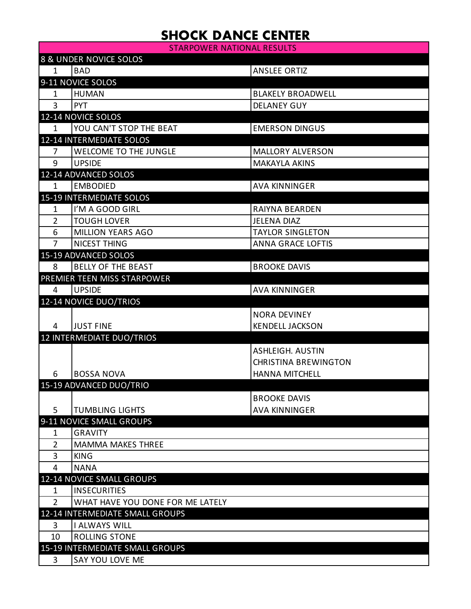## **SHOCK DANCE CENTER**

STARPOWER NATIONAL RESULTS

| 8 & UNDER NOVICE SOLOS |                                  |                             |  |
|------------------------|----------------------------------|-----------------------------|--|
| $\mathbf{1}$           | <b>BAD</b>                       | <b>ANSLEE ORTIZ</b>         |  |
|                        | 9-11 NOVICE SOLOS                |                             |  |
| 1                      | <b>HUMAN</b>                     | <b>BLAKELY BROADWELL</b>    |  |
| 3                      | <b>PYT</b>                       | <b>DELANEY GUY</b>          |  |
|                        | 12-14 NOVICE SOLOS               |                             |  |
| $\mathbf{1}$           | YOU CAN'T STOP THE BEAT          | <b>EMERSON DINGUS</b>       |  |
|                        | <b>12-14 INTERMEDIATE SOLOS</b>  |                             |  |
| 7                      | <b>WELCOME TO THE JUNGLE</b>     | <b>MALLORY ALVERSON</b>     |  |
| 9                      | <b>UPSIDE</b>                    | <b>MAKAYLA AKINS</b>        |  |
|                        | 12-14 ADVANCED SOLOS             |                             |  |
| $\mathbf{1}$           | <b>EMBODIED</b>                  | <b>AVA KINNINGER</b>        |  |
|                        | <b>15-19 INTERMEDIATE SOLOS</b>  |                             |  |
| 1                      | I'M A GOOD GIRL                  | <b>RAIYNA BEARDEN</b>       |  |
| $\overline{2}$         | <b>TOUGH LOVER</b>               | <b>JELENA DIAZ</b>          |  |
| 6                      | <b>MILLION YEARS AGO</b>         | <b>TAYLOR SINGLETON</b>     |  |
| 7                      | NICEST THING                     | <b>ANNA GRACE LOFTIS</b>    |  |
|                        | 15-19 ADVANCED SOLOS             |                             |  |
| 8                      | <b>BELLY OF THE BEAST</b>        | <b>BROOKE DAVIS</b>         |  |
|                        | PREMIER TEEN MISS STARPOWER      |                             |  |
| 4                      | <b>UPSIDE</b>                    | <b>AVA KINNINGER</b>        |  |
|                        | 12-14 NOVICE DUO/TRIOS           |                             |  |
|                        |                                  | <b>NORA DEVINEY</b>         |  |
| 4                      | <b>JUST FINE</b>                 | <b>KENDELL JACKSON</b>      |  |
|                        | 12 INTERMEDIATE DUO/TRIOS        |                             |  |
|                        |                                  | <b>ASHLEIGH. AUSTIN</b>     |  |
|                        |                                  | <b>CHRISTINA BREWINGTON</b> |  |
| 6                      | <b>BOSSA NOVA</b>                | HANNA MITCHELL              |  |
|                        | 15-19 ADVANCED DUO/TRIO          |                             |  |
|                        |                                  | <b>BROOKE DAVIS</b>         |  |
| 5                      | <b>TUMBLING LIGHTS</b>           | <b>AVA KINNINGER</b>        |  |
|                        | 9-11 NOVICE SMALL GROUPS         |                             |  |
| 1                      | <b>GRAVITY</b>                   |                             |  |
| $\overline{2}$         | <b>MAMMA MAKES THREE</b>         |                             |  |
| 3                      | <b>KING</b>                      |                             |  |
| 4                      | <b>NANA</b>                      |                             |  |
|                        | 12-14 NOVICE SMALL GROUPS        |                             |  |
| 1                      | <b>INSECURITIES</b>              |                             |  |
| $\overline{2}$         | WHAT HAVE YOU DONE FOR ME LATELY |                             |  |
|                        | 12-14 INTERMEDIATE SMALL GROUPS  |                             |  |
| 3                      | <b>I ALWAYS WILL</b>             |                             |  |
| 10                     | <b>ROLLING STONE</b>             |                             |  |
|                        | 15-19 INTERMEDIATE SMALL GROUPS  |                             |  |
| 3                      | SAY YOU LOVE ME                  |                             |  |